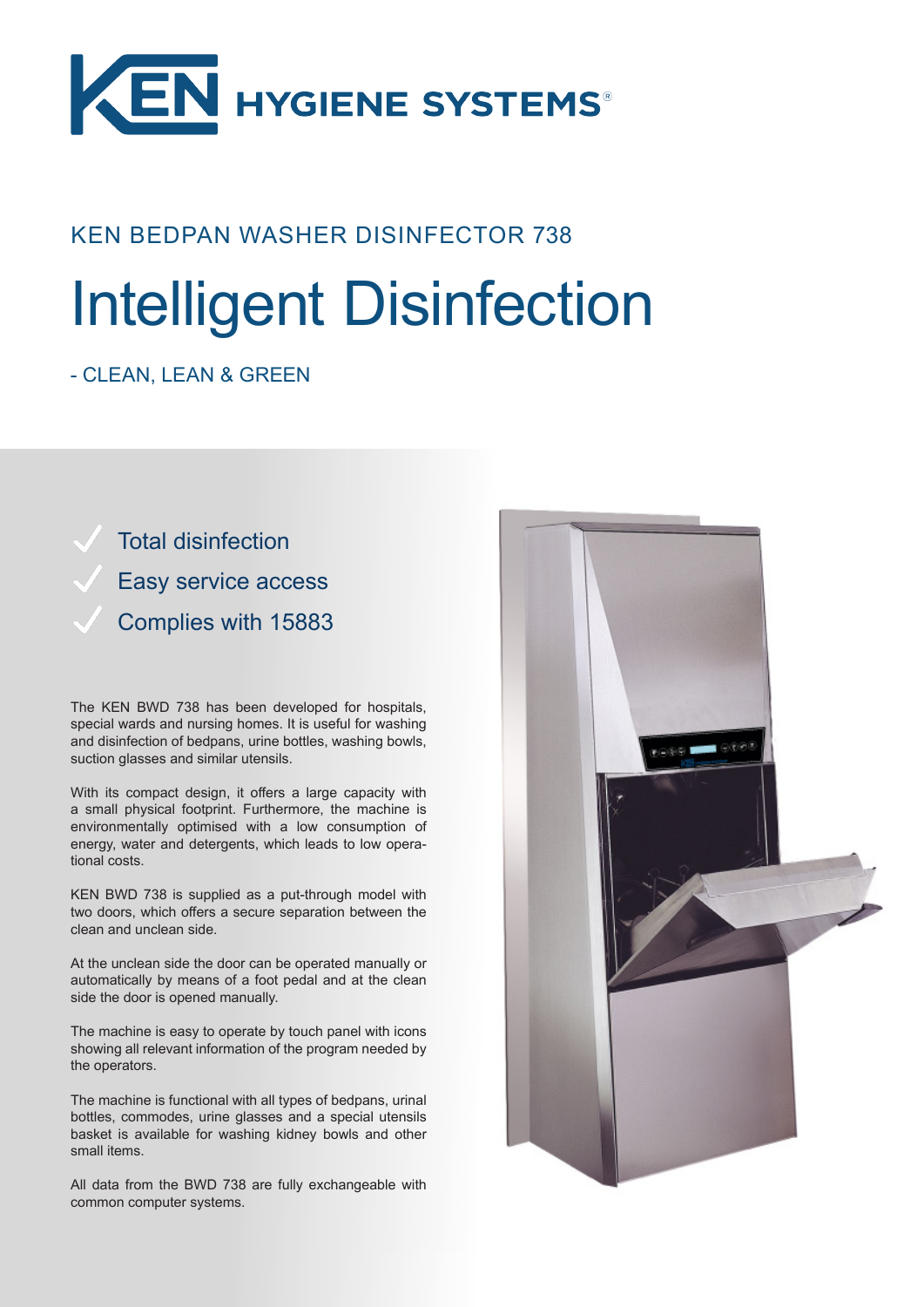

## KEN BEDPAN WASHER DISINFECTOR 738

# Intelligent Disinfection

## - CLEAN, LEAN & GREEN

Total disinfection Easy service access Complies with 15883

The KEN BWD 738 has been developed for hospitals, special wards and nursing homes. It is useful for washing and disinfection of bedpans, urine bottles, washing bowls, suction glasses and similar utensils.

With its compact design, it offers a large capacity with a small physical footprint. Furthermore, the machine is environmentally optimised with a low consumption of energy, water and detergents, which leads to low operational costs.

KEN BWD 738 is supplied as a put-through model with two doors, which offers a secure separation between the clean and unclean side.

At the unclean side the door can be operated manually or automatically by means of a foot pedal and at the clean side the door is opened manually.

The machine is easy to operate by touch panel with icons showing all relevant information of the program needed by the operators.

The machine is functional with all types of bedpans, urinal bottles, commodes, urine glasses and a special utensils basket is available for washing kidney bowls and other small items.

All data from the BWD 738 are fully exchangeable with common computer systems.